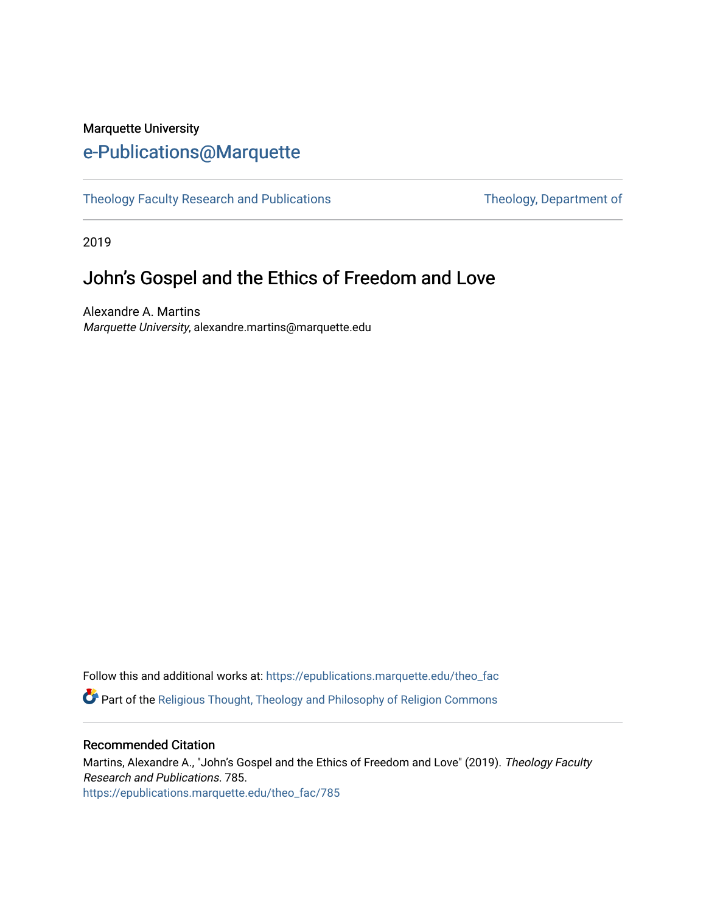## Marquette University [e-Publications@Marquette](https://epublications.marquette.edu/)

[Theology Faculty Research and Publications](https://epublications.marquette.edu/theo_fac) Theology, Department of

2019

# John's Gospel and the Ethics of Freedom and Love

Alexandre A. Martins Marquette University, alexandre.martins@marquette.edu

Follow this and additional works at: [https://epublications.marquette.edu/theo\\_fac](https://epublications.marquette.edu/theo_fac?utm_source=epublications.marquette.edu%2Ftheo_fac%2F785&utm_medium=PDF&utm_campaign=PDFCoverPages)  **P** Part of the Religious Thought, Theology and Philosophy of Religion Commons

### Recommended Citation

Martins, Alexandre A., "John's Gospel and the Ethics of Freedom and Love" (2019). Theology Faculty Research and Publications. 785. [https://epublications.marquette.edu/theo\\_fac/785](https://epublications.marquette.edu/theo_fac/785?utm_source=epublications.marquette.edu%2Ftheo_fac%2F785&utm_medium=PDF&utm_campaign=PDFCoverPages)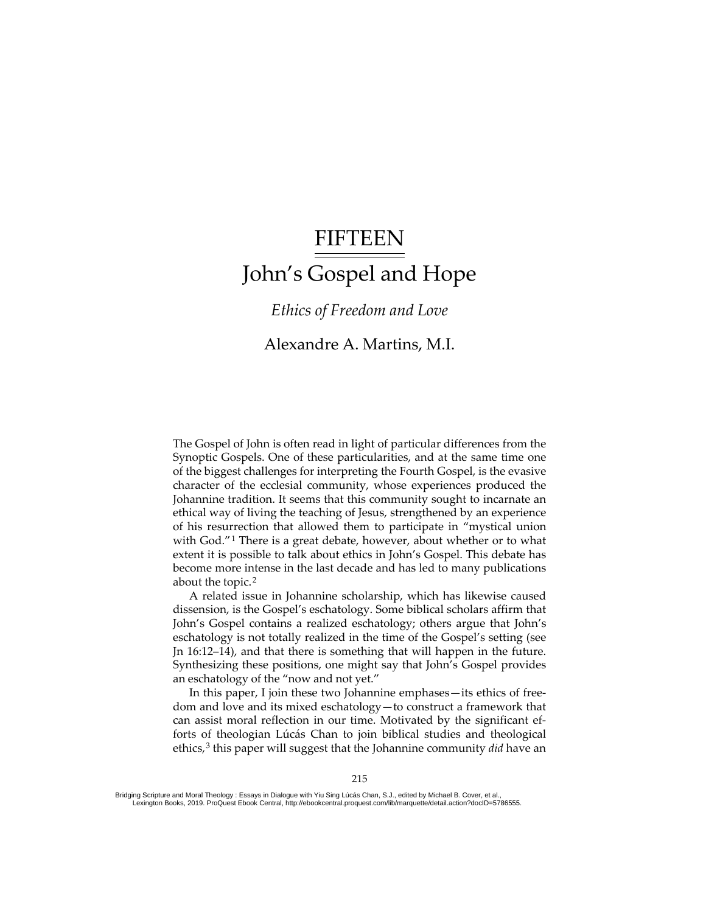# FIFTEEN John's Gospel and Hope

*Ethics of Freedom and Love*

## Alexandre A. Martins, M.I.

The Gospel of John is often read in light of particular differences from the Synoptic Gospels. One of these particularities, and at the same time one of the biggest challenges for interpreting the Fourth Gospel, is the evasive character of the ecclesial community, whose experiences produced the Johannine tradition. It seems that this community sought to incarnate an ethical way of living the teaching of Jesus, strengthened by an experience of his resurrection that allowed them to participate in "mystical union with God."<sup>[1](#page-9-0)</sup> There is a great debate, however, about whether or to what extent it is possible to talk about ethics in John's Gospel. This debate has become more intense in the last decade and has led to many publications about the topic.<sup>[2](#page-10-0)</sup>

Created a B possible<br>
become more inter<br>
about the topic.<sup>2</sup><br>
A related issue<br>
dissension, is the C<br>
John's Gospel con<br>
eschatology is not<br>
Jn 16:12–14), and i<br>
Synthesizing theses<br>
an eschatology of t<br>
In this paper, I<br>
I A related issue in Johannine scholarship, which has likewise caused dissension, is the Gospel's eschatology. Some biblical scholars affirm that John's Gospel contains a realized eschatology; others argue that John's eschatology is not totally realized in the time of the Gospel's setting (see Jn 16:12–14), and that there is something that will happen in the future. Synthesizing these positions, one might say that John's Gospel provides an eschatology of the "now and not yet."

In this paper, I join these two Johannine emphases—its ethics of freedom and love and its mixed eschatology—to construct a framework that can assist moral reflection in our time. Motivated by the significant efforts of theologian Lúcás Chan to join biblical studies and theological ethics,<sup>[3](#page-10-1)</sup> this paper will suggest that the Johannine community *did* have an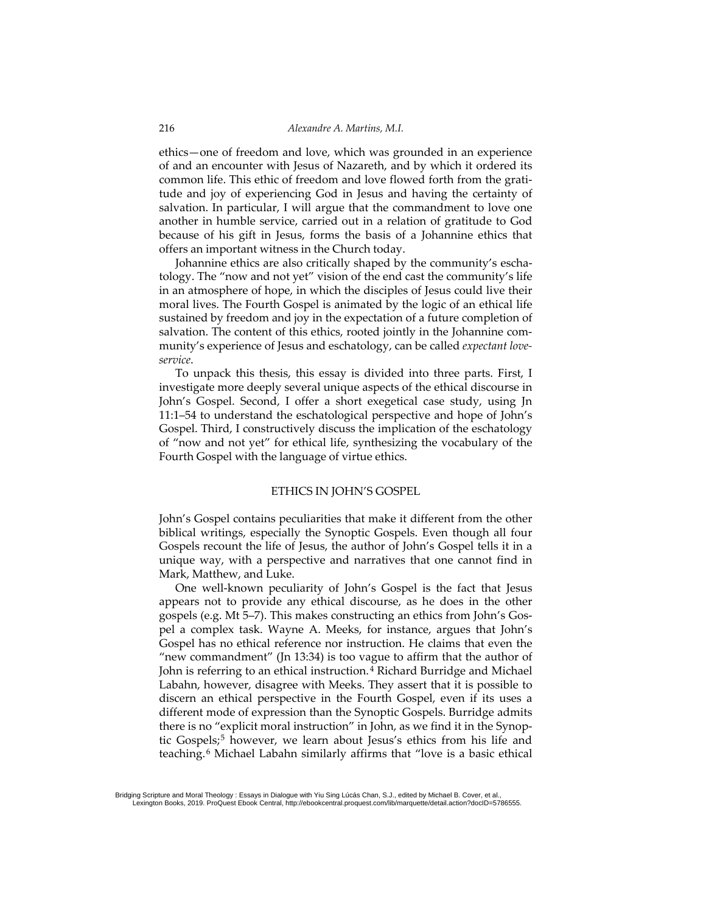ethics—one of freedom and love, which was grounded in an experience of and an encounter with Jesus of Nazareth, and by which it ordered its common life. This ethic of freedom and love flowed forth from the gratitude and joy of experiencing God in Jesus and having the certainty of salvation. In particular, I will argue that the commandment to love one another in humble service, carried out in a relation of gratitude to God because of his gift in Jesus, forms the basis of a Johannine ethics that offers an important witness in the Church today.

Johannine ethics are also critically shaped by the community's eschatology. The "now and not yet" vision of the end cast the community's life in an atmosphere of hope, in which the disciples of Jesus could live their moral lives. The Fourth Gospel is animated by the logic of an ethical life sustained by freedom and joy in the expectation of a future completion of salvation. The content of this ethics, rooted jointly in the Johannine community's experience of Jesus and eschatology, can be called *expectant loveservice*.

To unpack this thesis, this essay is divided into three parts. First, I investigate more deeply several unique aspects of the ethical discourse in John's Gospel. Second, I offer a short exegetical case study, using Jn 11:1–54 to understand the eschatological perspective and hope of John's Gospel. Third, I constructively discuss the implication of the eschatology of "now and not yet" for ethical life, synthesizing the vocabulary of the Fourth Gospel with the language of virtue ethics.

#### ETHICS IN JOHN'S GOSPEL

John's Gospel contains peculiarities that make it different from the other biblical writings, especially the Synoptic Gospels. Even though all four Gospels recount the life of Jesus, the author of John's Gospel tells it in a unique way, with a perspective and narratives that one cannot find in Mark, Matthew, and Luke.

unique way, with a<br>Mark, Matthew, and<br>One well-known<br>appears not to prov<br>gospels (e.g. Mt 5–7).<br>pel a complex task.<br>Gospel has no ethica<br>"new commandment<br>John is referring to an<br>Labahn, however, di<br>discern an ethical po<br>di One well-known peculiarity of John's Gospel is the fact that Jesus appears not to provide any ethical discourse, as he does in the other gospels (e.g. Mt 5–7). This makes constructing an ethics from John's Gospel a complex task. Wayne A. Meeks, for instance, argues that John's Gospel has no ethical reference nor instruction. He claims that even the "new commandment" (Jn 13:34) is too vague to affirm that the author of John is referring to an ethical instruction.<sup>[4](#page-10-2)</sup> Richard Burridge and Michael Labahn, however, disagree with Meeks. They assert that it is possible to discern an ethical perspective in the Fourth Gospel, even if its uses a different mode of expression than the Synoptic Gospels. Burridge admits there is no "explicit moral instruction" in John, as we find it in the Synop-tic Gospels;<sup>[5](#page-10-3)</sup> however, we learn about Jesus's ethics from his life and teaching.[6](#page-10-4) Michael Labahn similarly affirms that "love is a basic ethical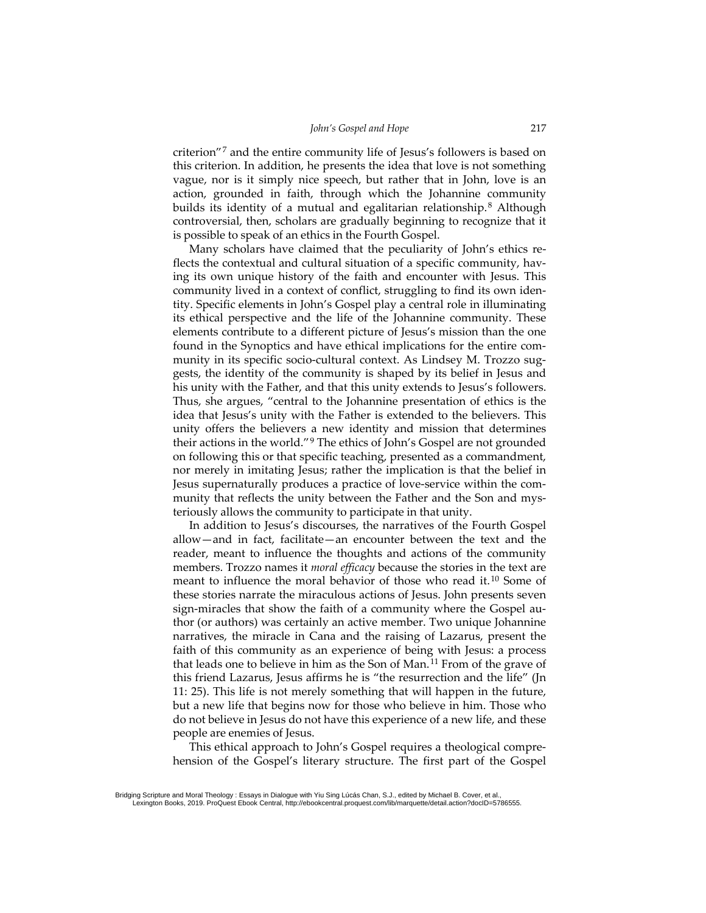criterion"[7](#page-10-5) and the entire community life of Jesus's followers is based on this criterion. In addition, he presents the idea that love is not something vague, nor is it simply nice speech, but rather that in John, love is an action, grounded in faith, through which the Johannine community builds its identity of a mutual and egalitarian relationship.<sup>[8](#page-10-6)</sup> Although controversial, then, scholars are gradually beginning to recognize that it is possible to speak of an ethics in the Fourth Gospel.

Many scholars have claimed that the peculiarity of John's ethics reflects the contextual and cultural situation of a specific community, having its own unique history of the faith and encounter with Jesus. This community lived in a context of conflict, struggling to find its own identity. Specific elements in John's Gospel play a central role in illuminating its ethical perspective and the life of the Johannine community. These elements contribute to a different picture of Jesus's mission than the one found in the Synoptics and have ethical implications for the entire community in its specific socio-cultural context. As Lindsey M. Trozzo suggests, the identity of the community is shaped by its belief in Jesus and his unity with the Father, and that this unity extends to Jesus's followers. Thus, she argues, "central to the Johannine presentation of ethics is the idea that Jesus's unity with the Father is extended to the believers. This unity offers the believers a new identity and mission that determines their actions in the world."[9](#page-10-7) The ethics of John's Gospel are not grounded on following this or that specific teaching, presented as a commandment, nor merely in imitating Jesus; rather the implication is that the belief in Jesus supernaturally produces a practice of love-service within the community that reflects the unity between the Father and the Son and mysteriously allows the community to participate in that unity.

Fronties. Trozzo in<br>
members. Trozzo in<br>
meant to influence<br>
these stories narra<br>
sign-miracles that<br>
thor (or authors) v<br>
marratives, the mi<br>
faith of this comm<br>
that leads one to b<br>
this friend Lazaru<br>
11: 25). This life In addition to Jesus's discourses, the narratives of the Fourth Gospel allow—and in fact, facilitate—an encounter between the text and the reader, meant to influence the thoughts and actions of the community members. Trozzo names it *moral efficacy* because the stories in the text are meant to influence the moral behavior of those who read it.[10](#page-10-8) Some of these stories narrate the miraculous actions of Jesus. John presents seven sign-miracles that show the faith of a community where the Gospel author (or authors) was certainly an active member. Two unique Johannine narratives, the miracle in Cana and the raising of Lazarus, present the faith of this community as an experience of being with Jesus: a process that leads one to believe in him as the Son of Man.<sup>[11](#page-10-9)</sup> From of the grave of this friend Lazarus, Jesus affirms he is "the resurrection and the life" (Jn 11: 25). This life is not merely something that will happen in the future, but a new life that begins now for those who believe in him. Those who do not believe in Jesus do not have this experience of a new life, and these people are enemies of Jesus.

This ethical approach to John's Gospel requires a theological comprehension of the Gospel's literary structure. The first part of the Gospel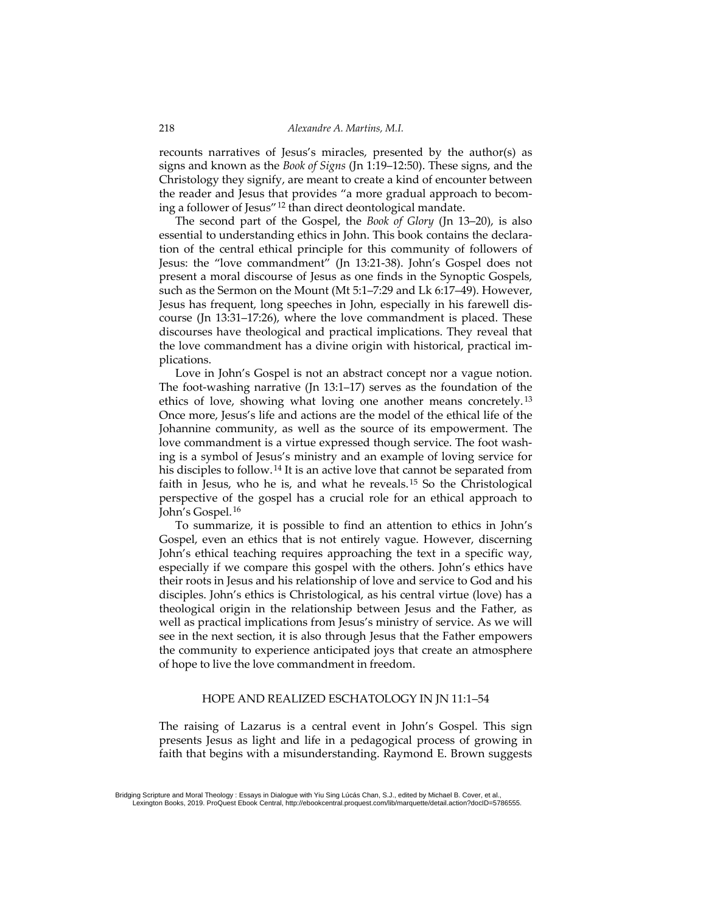recounts narratives of Jesus's miracles, presented by the author(s) as signs and known as the *Book of Signs* (Jn 1:19–12:50). These signs, and the Christology they signify, are meant to create a kind of encounter between the reader and Jesus that provides "a more gradual approach to becoming a follower of Jesus"[12](#page-10-10) than direct deontological mandate.

The second part of the Gospel, the *Book of Glory* (Jn 13–20), is also essential to understanding ethics in John. This book contains the declaration of the central ethical principle for this community of followers of Jesus: the "love commandment" (Jn 13:21-38). John's Gospel does not present a moral discourse of Jesus as one finds in the Synoptic Gospels, such as the Sermon on the Mount (Mt 5:1–7:29 and Lk 6:17–49). However, Jesus has frequent, long speeches in John, especially in his farewell discourse (Jn 13:31–17:26), where the love commandment is placed. These discourses have theological and practical implications. They reveal that the love commandment has a divine origin with historical, practical implications.

Love in John's Gospel is not an abstract concept nor a vague notion. The foot-washing narrative (Jn 13:1–17) serves as the foundation of the ethics of love, showing what loving one another means concretely.<sup>[13](#page-10-11)</sup> Once more, Jesus's life and actions are the model of the ethical life of the Johannine community, as well as the source of its empowerment. The love commandment is a virtue expressed though service. The foot washing is a symbol of Jesus's ministry and an example of loving service for his disciples to follow.[14](#page-10-12) It is an active love that cannot be separated from faith in Jesus, who he is, and what he reveals.[15](#page-10-13) So the Christological perspective of the gospel has a crucial role for an ethical approach to John's Gospel.[16](#page-10-14)

From their roots in Jesus are disciples. John's ethication<br>creates are disciples. John's ethicatheological origin in<br>well as practical impions<br>see in the next section<br>the community to ex<br>of hope to live the love<br>of hope to To summarize, it is possible to find an attention to ethics in John's Gospel, even an ethics that is not entirely vague. However, discerning John's ethical teaching requires approaching the text in a specific way, especially if we compare this gospel with the others. John's ethics have their roots in Jesus and his relationship of love and service to God and his disciples. John's ethics is Christological, as his central virtue (love) has a theological origin in the relationship between Jesus and the Father, as well as practical implications from Jesus's ministry of service. As we will see in the next section, it is also through Jesus that the Father empowers the community to experience anticipated joys that create an atmosphere of hope to live the love commandment in freedom.

#### HOPE AND REALIZED ESCHATOLOGY IN JN 11:1–54

The raising of Lazarus is a central event in John's Gospel. This sign presents Jesus as light and life in a pedagogical process of growing in faith that begins with a misunderstanding. Raymond E. Brown suggests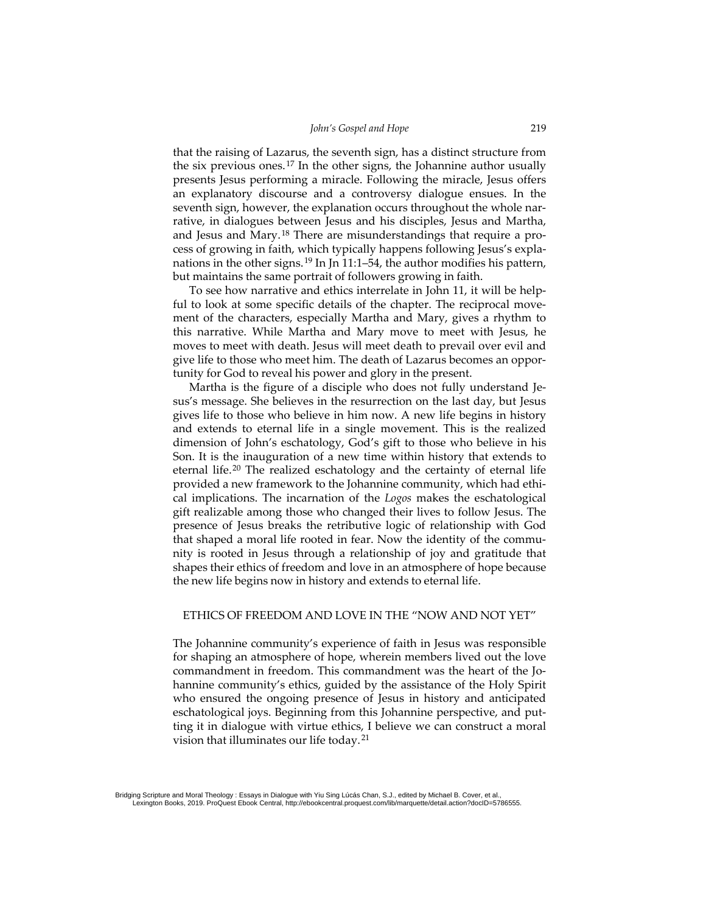that the raising of Lazarus, the seventh sign, has a distinct structure from the six previous ones.<sup>[17](#page-10-15)</sup> In the other signs, the Johannine author usually presents Jesus performing a miracle. Following the miracle, Jesus offers an explanatory discourse and a controversy dialogue ensues. In the seventh sign, however, the explanation occurs throughout the whole narrative, in dialogues between Jesus and his disciples, Jesus and Martha, and Jesus and Mary.<sup>[18](#page-10-16)</sup> There are misunderstandings that require a process of growing in faith, which typically happens following Jesus's expla-nations in the other signs.<sup>[19](#page-10-17)</sup> In Jn 11:1–54, the author modifies his pattern, but maintains the same portrait of followers growing in faith.

To see how narrative and ethics interrelate in John 11, it will be helpful to look at some specific details of the chapter. The reciprocal movement of the characters, especially Martha and Mary, gives a rhythm to this narrative. While Martha and Mary move to meet with Jesus, he moves to meet with death. Jesus will meet death to prevail over evil and give life to those who meet him. The death of Lazarus becomes an opportunity for God to reveal his power and glory in the present.

Martha is the figure of a disciple who does not fully understand Jesus's message. She believes in the resurrection on the last day, but Jesus gives life to those who believe in him now. A new life begins in history and extends to eternal life in a single movement. This is the realized dimension of John's eschatology, God's gift to those who believe in his Son. It is the inauguration of a new time within history that extends to eternal life.<sup>[20](#page-10-18)</sup> The realized eschatology and the certainty of eternal life provided a new framework to the Johannine community, which had ethical implications. The incarnation of the *Logos* makes the eschatological gift realizable among those who changed their lives to follow Jesus. The presence of Jesus breaks the retributive logic of relationship with God that shaped a moral life rooted in fear. Now the identity of the community is rooted in Jesus through a relationship of joy and gratitude that shapes their ethics of freedom and love in an atmosphere of hope because the new life begins now in history and extends to eternal life.

#### ETHICS OF FREEDOM AND LOVE IN THE "NOW AND NOT YET"

Created from margins their ethics<br>the new life begins<br>ETHICS OF FRE<br>The Johannine control for shaping an ather<br>commandment in<br>hannine community<br>who ensured the<br>eschatological joys<br>ting it in dialogue<br>vision that illumin<br>Br The Johannine community's experience of faith in Jesus was responsible for shaping an atmosphere of hope, wherein members lived out the love commandment in freedom. This commandment was the heart of the Johannine community's ethics, guided by the assistance of the Holy Spirit who ensured the ongoing presence of Jesus in history and anticipated eschatological joys. Beginning from this Johannine perspective, and putting it in dialogue with virtue ethics, I believe we can construct a moral vision that illuminates our life today.[21](#page-11-0)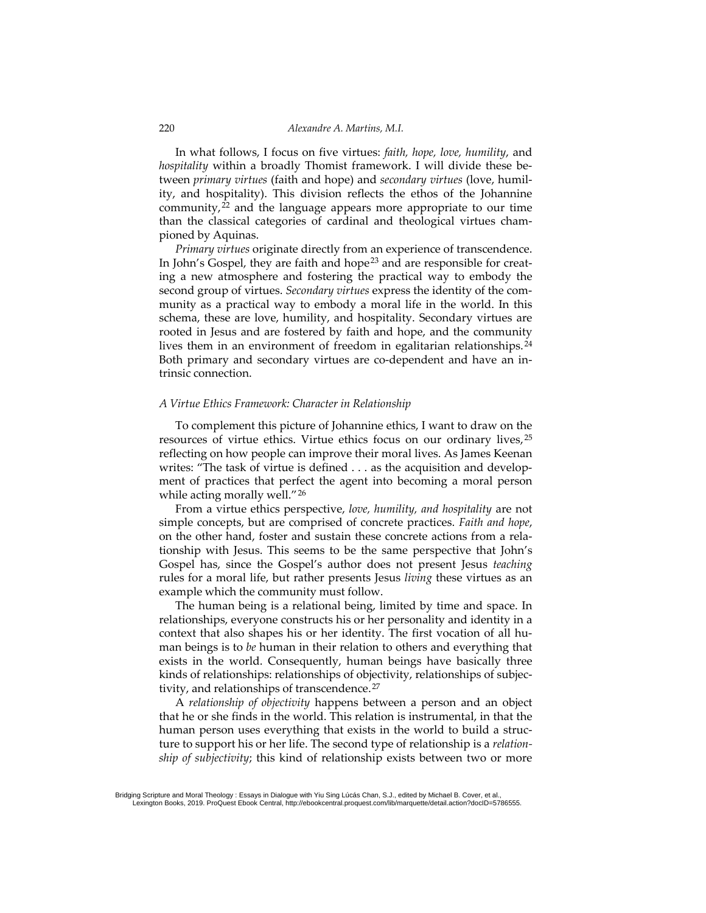In what follows, I focus on five virtues: *faith, hope, love, humility*, and *hospitality* within a broadly Thomist framework. I will divide these between *primary virtues* (faith and hope) and *secondary virtues* (love, humility, and hospitality). This division reflects the ethos of the Johannine community, $2<sup>2</sup>$  and the language appears more appropriate to our time than the classical categories of cardinal and theological virtues championed by Aquinas.

*Primary virtues* originate directly from an experience of transcendence. In John's Gospel, they are faith and hope<sup>[23](#page-11-2)</sup> and are responsible for creating a new atmosphere and fostering the practical way to embody the second group of virtues. *Secondary virtues* express the identity of the community as a practical way to embody a moral life in the world. In this schema, these are love, humility, and hospitality. Secondary virtues are rooted in Jesus and are fostered by faith and hope, and the community lives them in an environment of freedom in egalitarian relationships.<sup>[24](#page-11-3)</sup> Both primary and secondary virtues are co-dependent and have an intrinsic connection.

#### *A Virtue Ethics Framework: Character in Relationship*

To complement this picture of Johannine ethics, I want to draw on the resources of virtue ethics. Virtue ethics focus on our ordinary lives, [25](#page-11-4) reflecting on how people can improve their moral lives. As James Keenan writes: "The task of virtue is defined . . . as the acquisition and development of practices that perfect the agent into becoming a moral person while acting morally well."<sup>[26](#page-11-5)</sup>

From a virtue ethics perspective, *love, humility, and hospitality* are not simple concepts, but are comprised of concrete practices. *Faith and hope*, on the other hand, foster and sustain these concrete actions from a relationship with Jesus. This seems to be the same perspective that John's Gospel has, since the Gospel's author does not present Jesus *teaching* rules for a moral life, but rather presents Jesus *living* these virtues as an example which the community must follow.

Gospel has, since the rules for a moral life example which the compared from the compared on 2011-2011-2013-01-25:17. Contrast man beings is to be he exists in the world. Kinds of relationships tivity, and relationship of The human being is a relational being, limited by time and space. In relationships, everyone constructs his or her personality and identity in a context that also shapes his or her identity. The first vocation of all human beings is to *be* human in their relation to others and everything that exists in the world. Consequently, human beings have basically three kinds of relationships: relationships of objectivity, relationships of subjec-tivity, and relationships of transcendence.<sup>[27](#page-11-6)</sup>

A *relationship of objectivity* happens between a person and an object that he or she finds in the world. This relation is instrumental, in that the human person uses everything that exists in the world to build a structure to support his or her life. The second type of relationship is a *relationship of subjectivity*; this kind of relationship exists between two or more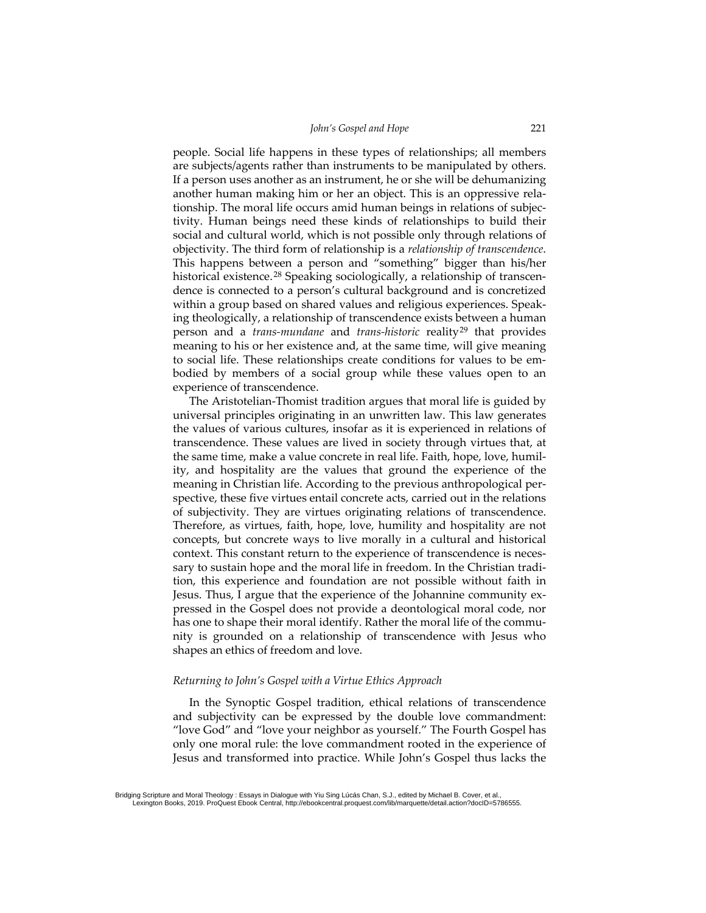people. Social life happens in these types of relationships; all members are subjects/agents rather than instruments to be manipulated by others. If a person uses another as an instrument, he or she will be dehumanizing another human making him or her an object. This is an oppressive relationship. The moral life occurs amid human beings in relations of subjectivity. Human beings need these kinds of relationships to build their social and cultural world, which is not possible only through relations of objectivity. The third form of relationship is a *relationship of transcendence*. This happens between a person and "something" bigger than his/her historical existence.<sup>[28](#page-11-7)</sup> Speaking sociologically, a relationship of transcendence is connected to a person's cultural background and is concretized within a group based on shared values and religious experiences. Speaking theologically, a relationship of transcendence exists between a human person and a *trans-mundane* and *trans-historic* reality[29](#page-11-8) that provides meaning to his or her existence and, at the same time, will give meaning to social life. These relationships create conditions for values to be embodied by members of a social group while these values open to an experience of transcendence.

sary to sustain hop<br>sary to sustain hop<br>tion, this experier<br>Jesus. Thus, I argu<br>pressed in the Goo<br>has one to shape the mity is grounded<br>shapes an ethics of<br>Returning to John's<br>Integral and subjectivity c<br>"In the Synopti<br>a The Aristotelian-Thomist tradition argues that moral life is guided by universal principles originating in an unwritten law. This law generates the values of various cultures, insofar as it is experienced in relations of transcendence. These values are lived in society through virtues that, at the same time, make a value concrete in real life. Faith, hope, love, humility, and hospitality are the values that ground the experience of the meaning in Christian life. According to the previous anthropological perspective, these five virtues entail concrete acts, carried out in the relations of subjectivity. They are virtues originating relations of transcendence. Therefore, as virtues, faith, hope, love, humility and hospitality are not concepts, but concrete ways to live morally in a cultural and historical context. This constant return to the experience of transcendence is necessary to sustain hope and the moral life in freedom. In the Christian tradition, this experience and foundation are not possible without faith in Jesus. Thus, I argue that the experience of the Johannine community expressed in the Gospel does not provide a deontological moral code, nor has one to shape their moral identify. Rather the moral life of the community is grounded on a relationship of transcendence with Jesus who shapes an ethics of freedom and love.

#### *Returning to John's Gospel with a Virtue Ethics Approach*

In the Synoptic Gospel tradition, ethical relations of transcendence and subjectivity can be expressed by the double love commandment: "love God" and "love your neighbor as yourself." The Fourth Gospel has only one moral rule: the love commandment rooted in the experience of Jesus and transformed into practice. While John's Gospel thus lacks the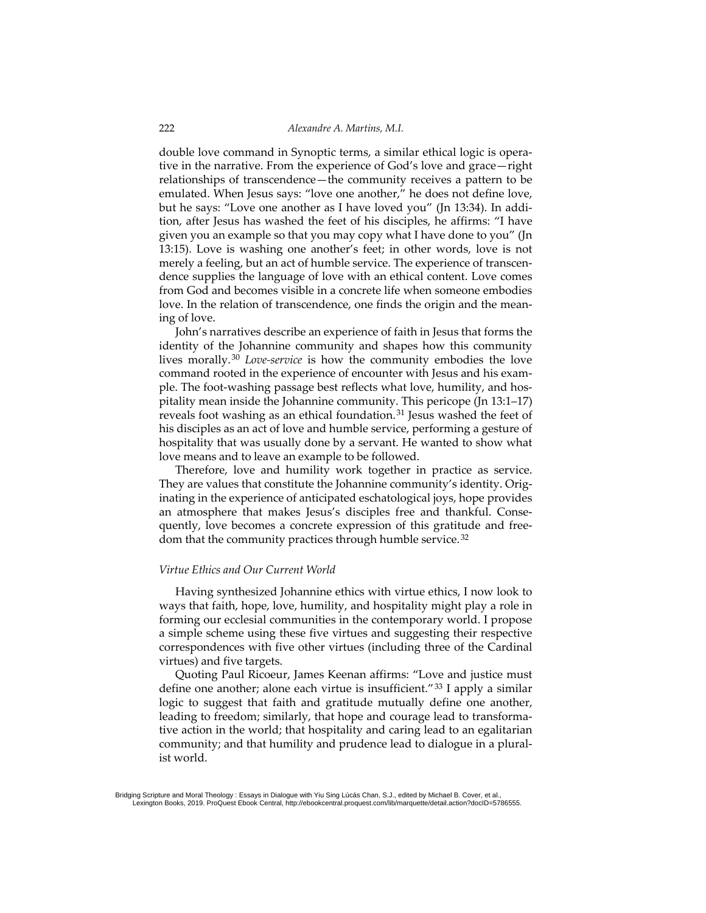double love command in Synoptic terms, a similar ethical logic is operative in the narrative. From the experience of God's love and grace—right relationships of transcendence—the community receives a pattern to be emulated. When Jesus says: "love one another," he does not define love, but he says: "Love one another as I have loved you" (Jn 13:34). In addition, after Jesus has washed the feet of his disciples, he affirms: "I have given you an example so that you may copy what I have done to you" (Jn 13:15). Love is washing one another's feet; in other words, love is not merely a feeling, but an act of humble service. The experience of transcendence supplies the language of love with an ethical content. Love comes from God and becomes visible in a concrete life when someone embodies love. In the relation of transcendence, one finds the origin and the meaning of love.

John's narratives describe an experience of faith in Jesus that forms the identity of the Johannine community and shapes how this community lives morally.[30](#page-11-9) *Love-service* is how the community embodies the love command rooted in the experience of encounter with Jesus and his example. The foot-washing passage best reflects what love, humility, and hospitality mean inside the Johannine community. This pericope (Jn 13:1–17) reveals foot washing as an ethical foundation. [31](#page-11-10) Jesus washed the feet of his disciples as an act of love and humble service, performing a gesture of hospitality that was usually done by a servant. He wanted to show what love means and to leave an example to be followed.

Therefore, love and humility work together in practice as service. They are values that constitute the Johannine community's identity. Originating in the experience of anticipated eschatological joys, hope provides an atmosphere that makes Jesus's disciples free and thankful. Consequently, love becomes a concrete expression of this gratitude and free-dom that the community practices through humble service.<sup>[32](#page-11-11)</sup>

#### *Virtue Ethics and Our Current World*

Having synthesized Johannine ethics with virtue ethics, I now look to ways that faith, hope, love, humility, and hospitality might play a role in forming our ecclesial communities in the contemporary world. I propose a simple scheme using these five virtues and suggesting their respective correspondences with five other virtues (including three of the Cardinal virtues) and five targets.

Virtue Ethics and Our<br>Having synthesize<br>ways that faith, hope<br>forming our ecclesial<br>a simple scheme usir<br>correspondences with<br>virtues) and five targ<br>Quoting Paul Rice<br>define one another; a<br>logic to suggest that<br>leading to Quoting Paul Ricoeur, James Keenan affirms: "Love and justice must define one another; alone each virtue is insufficient."<sup>[33](#page-11-12)</sup> I apply a similar logic to suggest that faith and gratitude mutually define one another, leading to freedom; similarly, that hope and courage lead to transformative action in the world; that hospitality and caring lead to an egalitarian community; and that humility and prudence lead to dialogue in a pluralist world.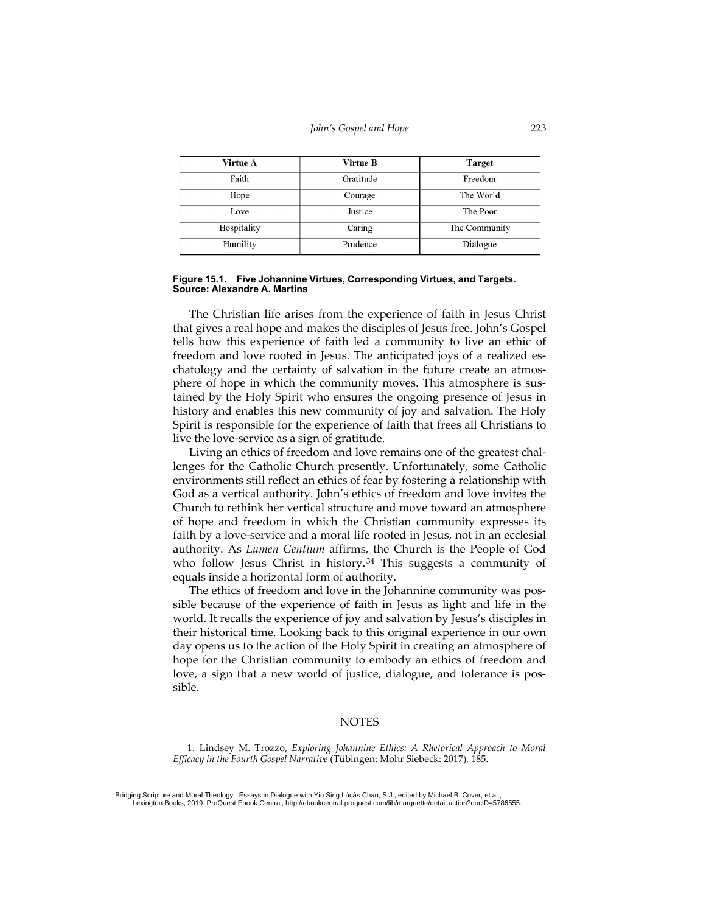| Virtue A    | Virtue B  | <b>Target</b> |
|-------------|-----------|---------------|
| Faith       | Gratitude | Freedom       |
| Hope        | Courage   | The World     |
| Love        | Justice   | The Poor      |
| Hospitality | Caring    | The Community |
| Humility    | Prudence  | Dialogue      |

#### **Figure 15.1. Five Johannine Virtues, Corresponding Virtues, and Targets. Source: Alexandre A. Martins**

The Christian life arises from the experience of faith in Jesus Christ that gives a real hope and makes the disciples of Jesus free. John's Gospel tells how this experience of faith led a community to live an ethic of freedom and love rooted in Jesus. The anticipated joys of a realized eschatology and the certainty of salvation in the future create an atmosphere of hope in which the community moves. This atmosphere is sustained by the Holy Spirit who ensures the ongoing presence of Jesus in history and enables this new community of joy and salvation. The Holy Spirit is responsible for the experience of faith that frees all Christians to live the love-service as a sign of gratitude.

Living an ethics of freedom and love remains one of the greatest challenges for the Catholic Church presently. Unfortunately, some Catholic environments still reflect an ethics of fear by fostering a relationship with God as a vertical authority. John's ethics of freedom and love invites the Church to rethink her vertical structure and move toward an atmosphere of hope and freedom in which the Christian community expresses its faith by a love-service and a moral life rooted in Jesus, not in an ecclesial authority. As *Lumen Gentium* affirms, the Church is the People of God who follow Jesus Christ in history.<sup>[34](#page-11-13)</sup> This suggests a community of equals inside a horizontal form of authority.

The ethics of freedom and love in the Johannine community was possible because of the experience of faith in Jesus as light and life in the world. It recalls the experience of joy and salvation by Jesus's disciples in their historical time. Looking back to this original experience in our own day opens us to the action of the Holy Spirit in creating an atmosphere of hope for the Christian community to embody an ethics of freedom and love, a sign that a new world of justice, dialogue, and tolerance is possible.

#### **NOTES**

<span id="page-9-0"></span>1. Lindsey M. Trozzo, *Exploring Johannine Ethics: A Rhetorical Approach to Moral Efficacy in the Fourth Gospel Narrative* (Tübingen: Mohr Siebeck: 2017), 185.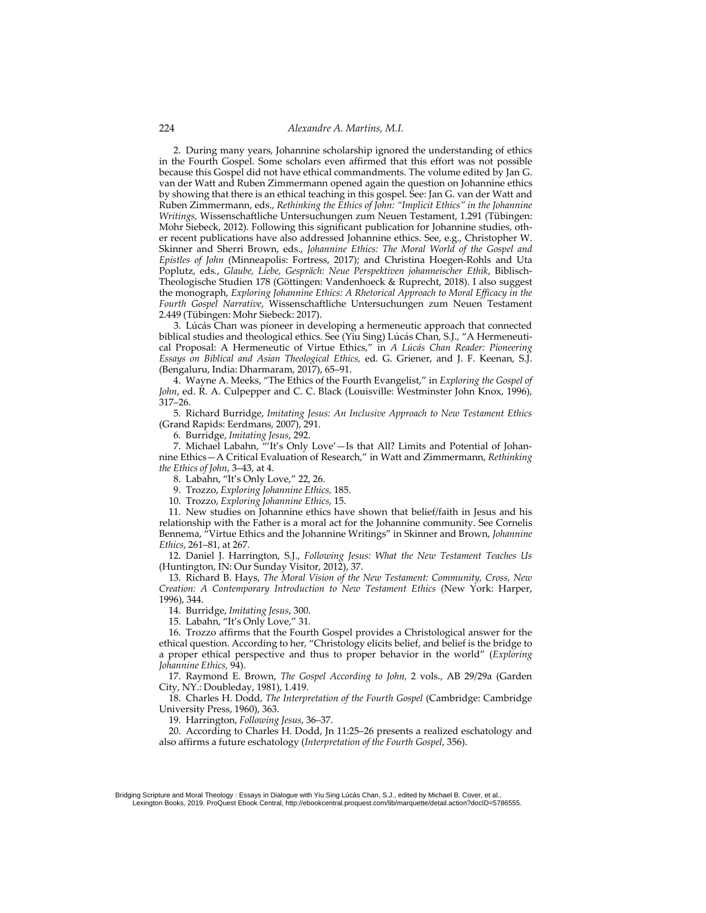<span id="page-10-0"></span>2. During many years, Johannine scholarship ignored the understanding of ethics in the Fourth Gospel. Some scholars even affirmed that this effort was not possible because this Gospel did not have ethical commandments. The volume edited by Jan G. van der Watt and Ruben Zimmermann opened again the question on Johannine ethics by showing that there is an ethical teaching in this gospel. See: Jan G. van der Watt and Ruben Zimmermann, eds., *Rethinking the Ethics of John: "Implicit Ethics" in the Johannine Writings,* Wissenschaftliche Untersuchungen zum Neuen Testament, 1.291 (Tübingen: Mohr Siebeck, 2012). Following this significant publication for Johannine studies, other recent publications have also addressed Johannine ethics. See, e.g., Christopher W. Skinner and Sherri Brown, eds., *Johannine Ethics: The Moral World of the Gospel and Epistles of John* (Minneapolis: Fortress, 2017); and Christina Hoegen-Rohls and Uta Poplutz, eds*.*, *Glaube, Liebe, Gespräch: Neue Perspektiven johanneischer Ethik*, Biblisch-Theologische Studien 178 (Göttingen: Vandenhoeck & Ruprecht, 2018). I also suggest the monograph, *Exploring Johannine Ethics: A Rhetorical Approach to Moral Efficacy in the Fourth Gospel Narrative*, Wissenschaftliche Untersuchungen zum Neuen Testament 2.449 (Tübingen: Mohr Siebeck: 2017).

<span id="page-10-1"></span>3. Lúcás Chan was pioneer in developing a hermeneutic approach that connected biblical studies and theological ethics. See (Yiu Sing) Lúcás Chan, S.J., "A Hermeneutical Proposal: A Hermeneutic of Virtue Ethics," in *A Lúcás Chan Reader: Pioneering Essays on Biblical and Asian Theological Ethics,* ed. G. Griener, and J. F. Keenan, S.J. (Bengaluru, India: Dharmaram, 2017), 65–91.

<span id="page-10-2"></span>4. Wayne A. Meeks, "The Ethics of the Fourth Evangelist," in *Exploring the Gospel of John*, ed. R. A. Culpepper and C. C. Black (Louisville: Westminster John Knox, 1996), 317–26.

<span id="page-10-3"></span>5. Richard Burridge, *Imitating Jesus: An Inclusive Approach to New Testament Ethics* (Grand Rapids: Eerdmans, 2007), 291.

6. Burridge, *Imitating Jesus*, 292.

<span id="page-10-5"></span><span id="page-10-4"></span>7. Michael Labahn, "'It's Only Love'—Is that All? Limits and Potential of Johannine Ethics—A Critical Evaluation of Research," in Watt and Zimmermann, *Rethinking the Ethics of John*, 3–43, at 4.

8. Labahn, "It's Only Love," 22, 26.

9. Trozzo, *Exploring Johannine Ethics,* 185.

10. Trozzo, *Exploring Johannine Ethics,* 15.

11. New studies on Johannine ethics have shown that belief/faith in Jesus and his relationship with the Father is a moral act for the Johannine community. See Cornelis Bennema, "Virtue Ethics and the Johannine Writings" in Skinner and Brown, *Johannine Ethics*, 261–81, at 267.

12. Daniel J. Harrington, S.J., *Following Jesus: What the New Testament Teaches Us* (Huntington, IN: Our Sunday Visitor, 2012), 37.

13. Richard B. Hays, *The Moral Vision of the New Testament: Community, Cross, New Creation: A Contemporary Introduction to New Testament Ethics* (New York: Harper, 1996), 344.

14. Burridge, *Imitating Jesus*, 300.

15. Labahn, "It's Only Love," 31*.*

<span id="page-10-15"></span><span id="page-10-14"></span><span id="page-10-13"></span><span id="page-10-12"></span><span id="page-10-11"></span><span id="page-10-10"></span><span id="page-10-9"></span><span id="page-10-8"></span><span id="page-10-7"></span><span id="page-10-6"></span>Creation: Networks Creation: Networks Creation: A Contemporary<br>Creation: A Contemporary<br>1996), 344.<br>14. Burridge, *Imitating*<br>15. Labahn, "It's Only<br>16. Trozzo affirms tha<br>ethical question. Accordi<br>a proper ethical perspee 16. Trozzo affirms that the Fourth Gospel provides a Christological answer for the ethical question. According to her, "Christology elicits belief, and belief is the bridge to a proper ethical perspective and thus to proper behavior in the world" (*Exploring Johannine Ethics,* 94).

17. Raymond E. Brown, *The Gospel According to John,* 2 vols., AB 29/29a (Garden City, NY.: Doubleday, 1981), 1.419.

<span id="page-10-16"></span>18. Charles H. Dodd, *The Interpretation of the Fourth Gospel* (Cambridge: Cambridge University Press, 1960), 363.

19. Harrington, *Following Jesus*, 36–37.

<span id="page-10-18"></span><span id="page-10-17"></span>20. According to Charles H. Dodd, Jn 11:25–26 presents a realized eschatology and also affirms a future eschatology (*Interpretation of the Fourth Gospel*, 356).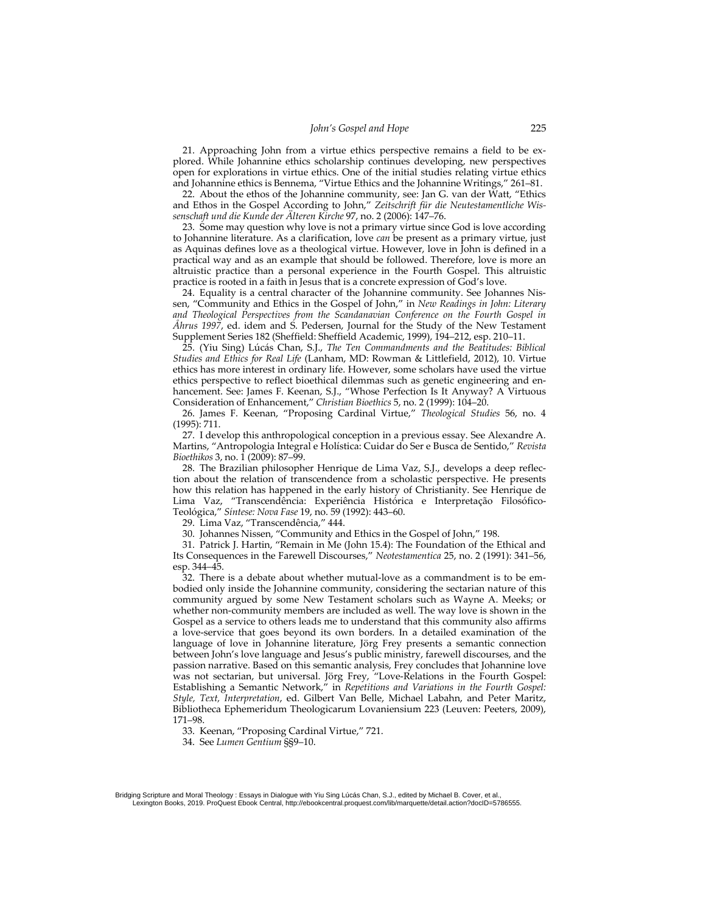<span id="page-11-0"></span>21. Approaching John from a virtue ethics perspective remains a field to be explored. While Johannine ethics scholarship continues developing, new perspectives open for explorations in virtue ethics. One of the initial studies relating virtue ethics and Johannine ethics is Bennema, "Virtue Ethics and the Johannine Writings," 261–81.

<span id="page-11-1"></span>22. About the ethos of the Johannine community, see: Jan G. van der Watt, "Ethics and Ethos in the Gospel According to John," *Zeitschrift für die Neutestamentliche Wissenschaft und die Kunde der Älteren Kirche* 97, no. 2 (2006): 147–76.

<span id="page-11-2"></span>23. Some may question why love is not a primary virtue since God is love according to Johannine literature. As a clarification, love *can* be present as a primary virtue, just as Aquinas defines love as a theological virtue. However, love in John is defined in a practical way and as an example that should be followed. Therefore, love is more an altruistic practice than a personal experience in the Fourth Gospel. This altruistic practice is rooted in a faith in Jesus that is a concrete expression of God's love.

<span id="page-11-3"></span>24. Equality is a central character of the Johannine community. See Johannes Nissen, "Community and Ethics in the Gospel of John," in *New Readings in John: Literary and Theological Perspectives from the Scandanavian Conference on the Fourth Gospel in Åhrus 1997*, ed. idem and S. Pedersen, Journal for the Study of the New Testament Supplement Series 182 (Sheffield: Sheffield Academic, 1999), 194–212, esp. 210–11.

<span id="page-11-4"></span>25. (Yiu Sing) Lúcás Chan, S.J., *The Ten Commandments and the Beatitudes: Biblical Studies and Ethics for Real Life* (Lanham, MD: Rowman & Littlefield, 2012), 10. Virtue ethics has more interest in ordinary life. However, some scholars have used the virtue ethics perspective to reflect bioethical dilemmas such as genetic engineering and enhancement. See: James F. Keenan, S.J., "Whose Perfection Is It Anyway? A Virtuous Consideration of Enhancement," *Christian Bioethics* 5, no. 2 (1999): 104–20.

<span id="page-11-5"></span>26. James F. Keenan, "Proposing Cardinal Virtue," *Theological Studies* 56, no. 4 (1995): 711.

27. I develop this anthropological conception in a previous essay. See Alexandre A. Martins, "Antropologia Integral e Holística: Cuidar do Ser e Busca de Sentido," *Revista Bioethikos* 3, no. 1 (2009): 87–99.

28. The Brazilian philosopher Henrique de Lima Vaz, S.J., develops a deep reflection about the relation of transcendence from a scholastic perspective. He presents how this relation has happened in the early history of Christianity. See Henrique de Lima Vaz, "Transcendência: Experiência Histórica e Interpretação Filosófico-Teológica," *Síntese: Nova Fase* 19, no. 59 (1992): 443–60.

29. Lima Vaz, "Transcendência," 444.

30. Johannes Nissen, "Community and Ethics in the Gospel of John," 198.

31. Patrick J. Hartin, "Remain in Me (John 15.4): The Foundation of the Ethical and Its Consequences in the Farewell Discourses," *Neotestamentica* 25, no. 2 (1991): 341–56, esp. 344–45.

<span id="page-11-11"></span><span id="page-11-10"></span><span id="page-11-9"></span><span id="page-11-8"></span><span id="page-11-7"></span><span id="page-11-6"></span>From the consequences and the community argued by whether non-community argued by whether non-community argued by whether non-community argued by whether non-community argued by the copyright of a love-service that g langu 32. There is a debate about whether mutual-love as a commandment is to be embodied only inside the Johannine community, considering the sectarian nature of this community argued by some New Testament scholars such as Wayne A. Meeks; or whether non-community members are included as well. The way love is shown in the Gospel as a service to others leads me to understand that this community also affirms a love-service that goes beyond its own borders. In a detailed examination of the language of love in Johannine literature, Jörg Frey presents a semantic connection between John's love language and Jesus's public ministry, farewell discourses, and the passion narrative. Based on this semantic analysis, Frey concludes that Johannine love was not sectarian, but universal. Jörg Frey, "Love-Relations in the Fourth Gospel: Establishing a Semantic Network," in *Repetitions and Variations in the Fourth Gospel: Style, Text, Interpretation*, ed. Gilbert Van Belle, Michael Labahn, and Peter Maritz, Bibliotheca Ephemeridum Theologicarum Lovaniensium 223 (Leuven: Peeters, 2009), 171–98.

33. Keenan, "Proposing Cardinal Virtue," 721.

<span id="page-11-13"></span><span id="page-11-12"></span>34. See *Lumen Gentium* §§9–10.